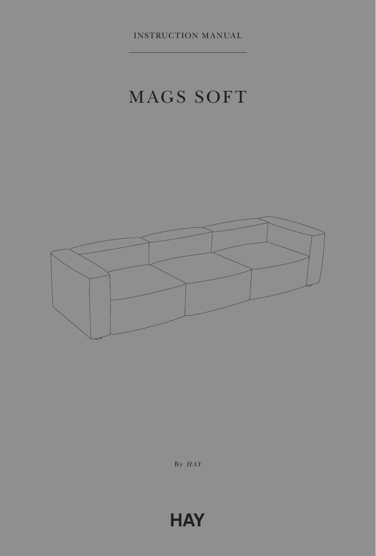INSTRUCTION MANUAL

# MAGS SOFT



By *HAY*

## **HAY**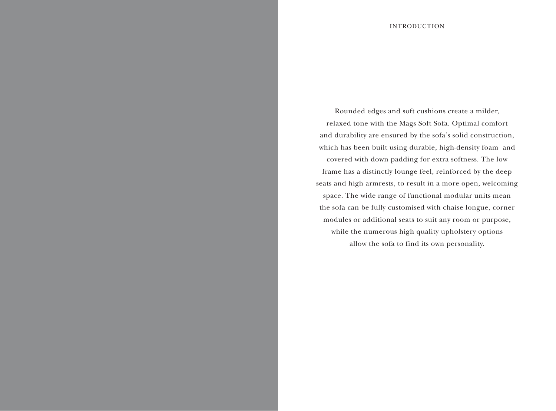Rounded edges and soft cushions create a milder, relaxed tone with the Mags Soft Sofa. Optimal comfort and durability are ensured by the sofa's solid construction, which has been built using durable, high-density foam and covered with down padding for extra softness. The low frame has a distinctly lounge feel, reinforced by the deep seats and high armrests, to result in a more open, welcoming space. The wide range of functional modular units mean the sofa can be fully customised with chaise longue, corner modules or additional seats to suit any room or purpose, while the numerous high quality upholstery options allow the sofa to find its own personality.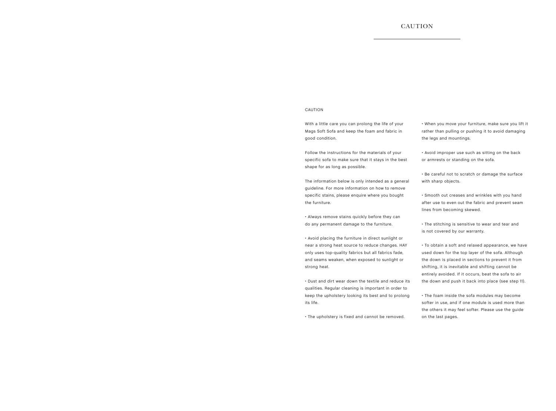## CAUTION

### CAUTION

With a little care you can prolong the life of your Mags Soft Sofa and keep the foam and fabric in good condition.

Follow the instructions for the materials of your specific sofa to make sure that it stays in the best shape for as long as possible.

The information below is only intended as a general guideline. For more information on how to remove specific stains, please enquire where you bought the furniture.

• Always remove stains quickly before they can do any permanent damage to the furniture.

• Avoid placing the furniture in direct sunlight or near a strong heat source to reduce changes. HAY only uses top-quality fabrics but all fabrics fade, and seams weaken, when exposed to sunlight or strong heat.

• Dust and dirt wear down the textile and reduce its qualities. Regular cleaning is important in order to keep the upholstery looking its best and to prolong its life.

• The upholstery is fixed and cannot be removed.

• When you move your furniture, make sure you lift it rather than pulling or pushing it to avoid damaging the legs and mountings.

• Avoid improper use such as sitting on the back or armrests or standing on the sofa.

• Be careful not to scratch or damage the surface with sharp objects.

• Smooth out creases and wrinkles with you hand after use to even out the fabric and prevent seam lines from becoming skewed.

• The stitching is sensitive to wear and tear and is not covered by our warranty.

• To obtain a soft and relaxed appearance, we have used down for the top layer of the sofa. Although the down is placed in sections to prevent it from shifting, it is inevitable and shifting cannot be entirely avoided. If it occurs, beat the sofa to air the down and push it back into place (see step 11).

• The foam inside the sofa modules may become softer in use, and if one module is used more than the others it may feel softer. Please use the guide on the last pages.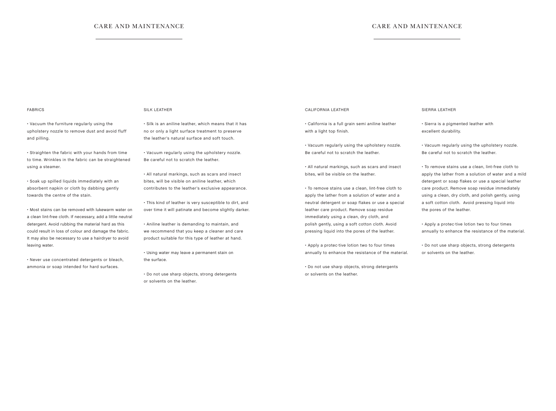## CARE AND MAINTENANCE CARE AND MAINTENANCE

#### FABRICS

• Vacuum the furniture regularly using the upholstery nozzle to remove dust and avoid fluff and pilling.

• Straighten the fabric with your hands from time to time. Wrinkles in the fabric can be straightened using a steamer.

• Soak up spilled liquids immediately with an absorbent napkin or cloth by dabbing gently towards the centre of the stain.

• Most stains can be removed with lukewarm water on a clean lint-free cloth. If necessary, add a little neutral detergent. Avoid rubbing the material hard as this could result in loss of colour and damage the fabric. It may also be necessary to use a hairdryer to avoid leaving water.

• Never use concentrated detergents or bleach, ammonia or soap intended for hard surfaces.

#### SILK LEATHER

• Silk is an aniline leather, which means that it has no or only a light surface treatment to preserve the leather's natural surface and soft touch.

• Vacuum regularly using the upholstery nozzle. Be careful not to scratch the leather.

• All natural markings, such as scars and insect bites, will be visible on aniline leather, which contributes to the leather's exclusive appearance.

• This kind of leather is very susceptible to dirt, and over time it will patinate and become slightly darker.

• Aniline leather is demanding to maintain, and we recommend that you keep a cleaner and care product suitable for this type of leather at hand.

• Using water may leave a permanent stain on the surface.

• Do not use sharp objects, strong detergents or solvents on the leather.

#### CALIFORNIA LEATHER

• California is a full grain semi aniline leather with a light top finish.

• Vacuum regularly using the upholstery nozzle. Be careful not to scratch the leather.

• All natural markings, such as scars and insect bites, will be visible on the leather.

• To remove stains use a clean, lint-free cloth to apply the lather from a solution of water and a neutral detergent or soap flakes or use a special leather care product. Remove soap residue immediately using a clean, dry cloth, and polish gently, using a soft cotton cloth. Avoid pressing liquid into the pores of the leather.

• Apply a protec tive lotion two to four times annually to enhance the resistance of the material.

• Do not use sharp objects, strong detergents or solvents on the leather.

#### SIERRA LEATHER

• Sierra is a pigmented leather with excellent durability.

• Vacuum regularly using the upholstery nozzle. Be careful not to scratch the leather.

• To remove stains use a clean, lint-free cloth to apply the lather from a solution of water and a mild detergent or soap flakes or use a special leather care product. Remove soap residue immediately using a clean, dry cloth, and polish gently, using a soft cotton cloth. Avoid pressing liquid into the pores of the leather.

• Apply a protec·tive lotion two to four times annually to enhance the resistance of the material.

• Do not use sharp objects, strong detergents or solvents on the leather.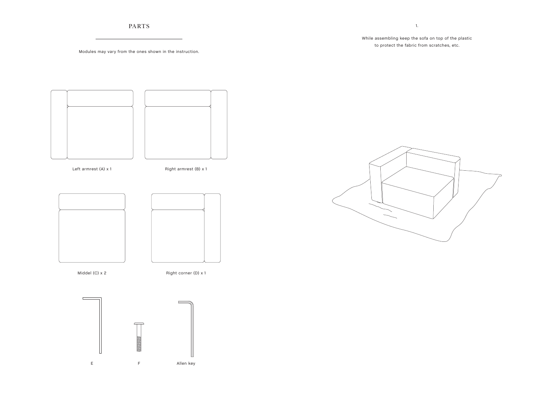PARTS

## While assembling keep the sofa on top of the plastic to protect the fabric from scratches, etc.

1.

Modules may vary from the ones shown in the instruction.



E F Allen key

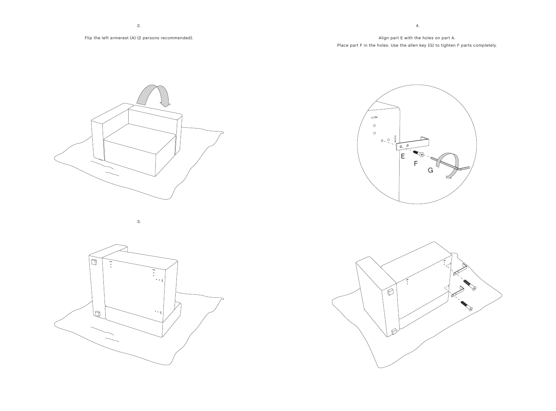## Align part E with the holes on part A. Place part F in the holes. Use the allen key (G) to tighten F parts completely.

4.









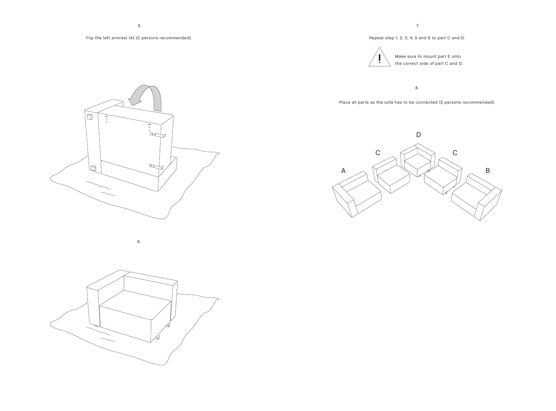## Flip the left armrest (A) (2 persons recommended).

## Repeat step 1, 2, 3, 4, 5 and 6 to part C and D.



Make sure to mount part E onto the correct side of part C and D.

8.

Place all parts as the sofa has to be connected (2 persons recommended).





6.



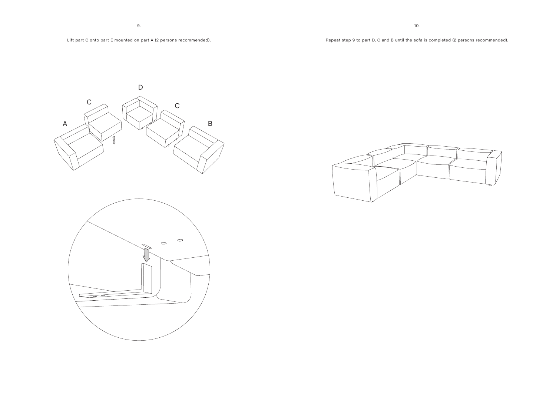## Lift part C onto part E mounted on part A (2 persons recommended).

10.





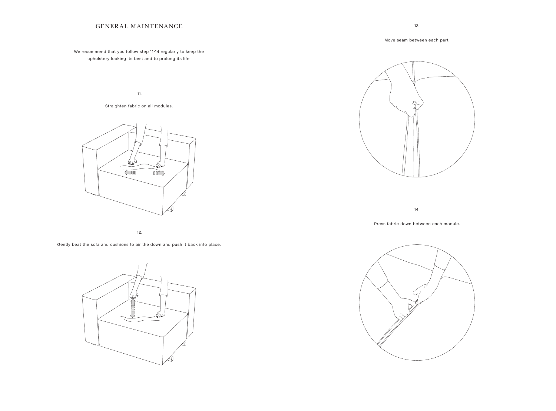## GENERAL MAINTENANCE

We recommend that you follow step 11-14 regularly to keep the upholstery looking its best and to prolong its life.

11.

Straighten fabric on all modules.



12.

Gently beat the sofa and cushions to air the down and push it back into place.





14.

Press fabric down between each module.



Move seam between each part.